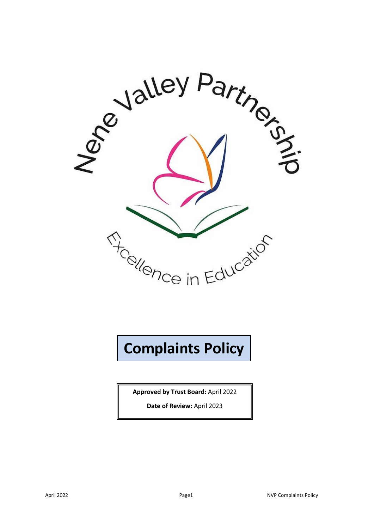

# **Complaints Policy**

**Approved by Trust Board:** April 2022

**Date of Review:** April 2023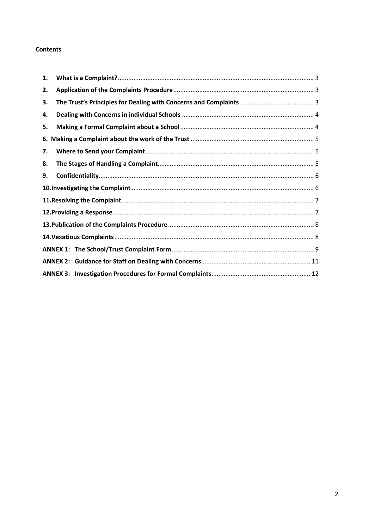#### **Contents**

| 1. |  |  |  |
|----|--|--|--|
| 2. |  |  |  |
| З. |  |  |  |
| 4. |  |  |  |
| 5. |  |  |  |
|    |  |  |  |
| 7. |  |  |  |
| 8. |  |  |  |
| 9. |  |  |  |
|    |  |  |  |
|    |  |  |  |
|    |  |  |  |
|    |  |  |  |
|    |  |  |  |
|    |  |  |  |
|    |  |  |  |
|    |  |  |  |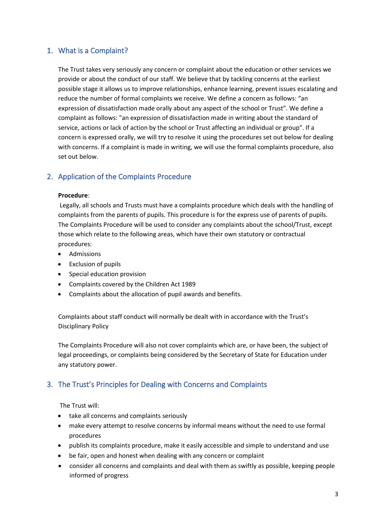## <span id="page-2-0"></span>1. What is a Complaint?

The Trust takes very seriously any concern or complaint about the education or other services we provide or about the conduct of our staff. We believe that by tackling concerns at the earliest possible stage it allows us to improve relationships, enhance learning, prevent issues escalating and reduce the number of formal complaints we receive. We define a concern as follows: "an expression of dissatisfaction made orally about any aspect of the school or Trust". We define a complaint as follows: "an expression of dissatisfaction made in writing about the standard of service, actions or lack of action by the school or Trust affecting an individual or group". If a concern is expressed orally, we will try to resolve it using the procedures set out below for dealing with concerns. If a complaint is made in writing, we will use the formal complaints procedure, also set out below.

## <span id="page-2-1"></span>2. Application of the Complaints Procedure

#### **Procedure**:

 Legally, all schools and Trusts must have a complaints procedure which deals with the handling of complaints from the parents of pupils. This procedure is for the express use of parents of pupils. The Complaints Procedure will be used to consider any complaints about the school/Trust, except those which relate to the following areas, which have their own statutory or contractual procedures:

- Admissions
- Exclusion of pupils
- Special education provision
- Complaints covered by the Children Act 1989
- Complaints about the allocation of pupil awards and benefits.

Complaints about staff conduct will normally be dealt with in accordance with the Trust's Disciplinary Policy

The Complaints Procedure will also not cover complaints which are, or have been, the subject of legal proceedings, or complaints being considered by the Secretary of State for Education under any statutory power.

## <span id="page-2-2"></span>3. The Trust's Principles for Dealing with Concerns and Complaints

The Trust will:

- take all concerns and complaints seriously
- make every attempt to resolve concerns by informal means without the need to use formal procedures
- publish its complaints procedure, make it easily accessible and simple to understand and use
- be fair, open and honest when dealing with any concern or complaint
- consider all concerns and complaints and deal with them as swiftly as possible, keeping people informed of progress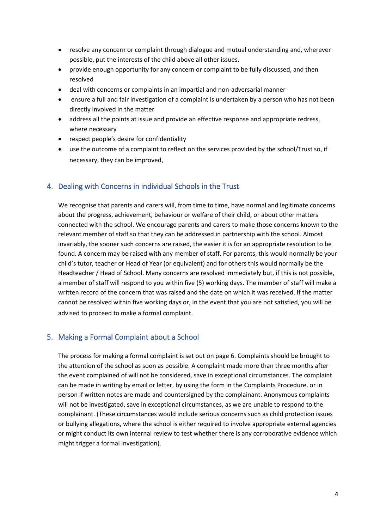- resolve any concern or complaint through dialogue and mutual understanding and, wherever possible, put the interests of the child above all other issues.
- provide enough opportunity for any concern or complaint to be fully discussed, and then resolved
- deal with concerns or complaints in an impartial and non-adversarial manner
- ensure a full and fair investigation of a complaint is undertaken by a person who has not been directly involved in the matter
- address all the points at issue and provide an effective response and appropriate redress, where necessary
- respect people's desire for confidentiality
- use the outcome of a complaint to reflect on the services provided by the school/Trust so, if necessary, they can be improved.

#### <span id="page-3-0"></span>4. Dealing with Concerns in individual Schools in the Trust

We recognise that parents and carers will, from time to time, have normal and legitimate concerns about the progress, achievement, behaviour or welfare of their child, or about other matters connected with the school. We encourage parents and carers to make those concerns known to the relevant member of staff so that they can be addressed in partnership with the school. Almost invariably, the sooner such concerns are raised, the easier it is for an appropriate resolution to be found. A concern may be raised with any member of staff. For parents, this would normally be your child's tutor, teacher or Head of Year (or equivalent) and for others this would normally be the Headteacher / Head of School. Many concerns are resolved immediately but, if this is not possible, a member of staff will respond to you within five (5) working days. The member of staff will make a written record of the concern that was raised and the date on which it was received. If the matter cannot be resolved within five working days or, in the event that you are not satisfied, you will be advised to proceed to make a formal complaint.

#### <span id="page-3-1"></span>5. Making a Formal Complaint about a School

The process for making a formal complaint is set out on page 6. Complaints should be brought to the attention of the school as soon as possible. A complaint made more than three months after the event complained of will not be considered, save in exceptional circumstances. The complaint can be made in writing by email or letter, by using the form in the Complaints Procedure, or in person if written notes are made and countersigned by the complainant. Anonymous complaints will not be investigated, save in exceptional circumstances, as we are unable to respond to the complainant. (These circumstances would include serious concerns such as child protection issues or bullying allegations, where the school is either required to involve appropriate external agencies or might conduct its own internal review to test whether there is any corroborative evidence which might trigger a formal investigation).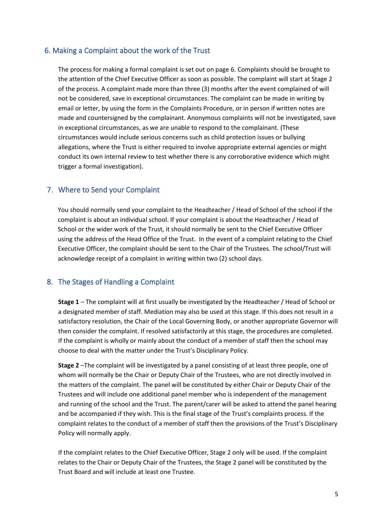#### <span id="page-4-0"></span>6. Making a Complaint about the work of the Trust

The process for making a formal complaint is set out on page 6. Complaints should be brought to the attention of the Chief Executive Officer as soon as possible. The complaint will start at Stage 2 of the process. A complaint made more than three (3) months after the event complained of will not be considered, save in exceptional circumstances. The complaint can be made in writing by email or letter, by using the form in the Complaints Procedure, or in person if written notes are made and countersigned by the complainant. Anonymous complaints will not be investigated, save in exceptional circumstances, as we are unable to respond to the complainant. (These circumstances would include serious concerns such as child protection issues or bullying allegations, where the Trust is either required to involve appropriate external agencies or might conduct its own internal review to test whether there is any corroborative evidence which might trigger a formal investigation).

#### <span id="page-4-1"></span>7. Where to Send your Complaint

You should normally send your complaint to the Headteacher / Head of School of the school if the complaint is about an individual school. If your complaint is about the Headteacher / Head of School or the wider work of the Trust, it should normally be sent to the Chief Executive Officer using the address of the Head Office of the Trust. In the event of a complaint relating to the Chief Executive Officer, the complaint should be sent to the Chair of the Trustees. The school/Trust will acknowledge receipt of a complaint in writing within two (2) school days.

#### <span id="page-4-2"></span>8. The Stages of Handling a Complaint

**Stage 1** – The complaint will at first usually be investigated by the Headteacher / Head of School or a designated member of staff. Mediation may also be used at this stage. If this does not result in a satisfactory resolution, the Chair of the Local Governing Body, or another appropriate Governor will then consider the complaint. If resolved satisfactorily at this stage, the procedures are completed. If the complaint is wholly or mainly about the conduct of a member of staff then the school may choose to deal with the matter under the Trust's Disciplinary Policy.

**Stage 2** –The complaint will be investigated by a panel consisting of at least three people, one of whom will normally be the Chair or Deputy Chair of the Trustees, who are not directly involved in the matters of the complaint. The panel will be constituted by either Chair or Deputy Chair of the Trustees and will include one additional panel member who is independent of the management and running of the school and the Trust. The parent/carer will be asked to attend the panel hearing and be accompanied if they wish. This is the final stage of the Trust's complaints process. If the complaint relates to the conduct of a member of staff then the provisions of the Trust's Disciplinary Policy will normally apply.

If the complaint relates to the Chief Executive Officer, Stage 2 only will be used. If the complaint relates to the Chair or Deputy Chair of the Trustees, the Stage 2 panel will be constituted by the Trust Board and will include at least one Trustee.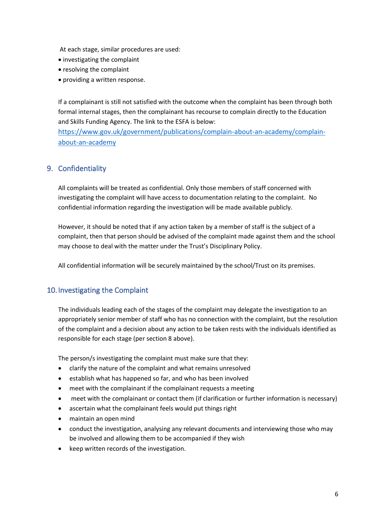At each stage, similar procedures are used:

- investigating the complaint
- resolving the complaint
- providing a written response.

If a complainant is still not satisfied with the outcome when the complaint has been through both formal internal stages, then the complainant has recourse to complain directly to the Education and Skills Funding Agency. The link to the ESFA is below:

[https://www.gov.uk/government/publications/complain-about-an-academy/complain](https://www.gov.uk/government/publications/complain-about-an-academy/complain-about-an-academy)[about-an-academy](https://www.gov.uk/government/publications/complain-about-an-academy/complain-about-an-academy)

## <span id="page-5-0"></span>9. Confidentiality

All complaints will be treated as confidential. Only those members of staff concerned with investigating the complaint will have access to documentation relating to the complaint. No confidential information regarding the investigation will be made available publicly.

However, it should be noted that if any action taken by a member of staff is the subject of a complaint, then that person should be advised of the complaint made against them and the school may choose to deal with the matter under the Trust's Disciplinary Policy.

All confidential information will be securely maintained by the school/Trust on its premises.

## <span id="page-5-1"></span>10. Investigating the Complaint

The individuals leading each of the stages of the complaint may delegate the investigation to an appropriately senior member of staff who has no connection with the complaint, but the resolution of the complaint and a decision about any action to be taken rests with the individuals identified as responsible for each stage (per section 8 above).

The person/s investigating the complaint must make sure that they:

- clarify the nature of the complaint and what remains unresolved
- establish what has happened so far, and who has been involved
- meet with the complainant if the complainant requests a meeting
- meet with the complainant or contact them (if clarification or further information is necessary)
- ascertain what the complainant feels would put things right
- maintain an open mind
- conduct the investigation, analysing any relevant documents and interviewing those who may be involved and allowing them to be accompanied if they wish
- keep written records of the investigation.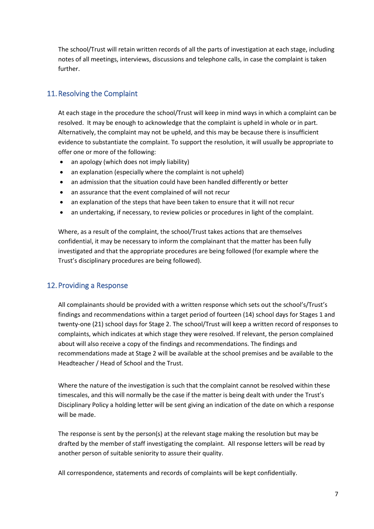The school/Trust will retain written records of all the parts of investigation at each stage, including notes of all meetings, interviews, discussions and telephone calls, in case the complaint is taken further.

## <span id="page-6-0"></span>11.Resolving the Complaint

At each stage in the procedure the school/Trust will keep in mind ways in which a complaint can be resolved. It may be enough to acknowledge that the complaint is upheld in whole or in part. Alternatively, the complaint may not be upheld, and this may be because there is insufficient evidence to substantiate the complaint. To support the resolution, it will usually be appropriate to offer one or more of the following:

- an apology (which does not imply liability)
- an explanation (especially where the complaint is not upheld)
- an admission that the situation could have been handled differently or better
- an assurance that the event complained of will not recur
- an explanation of the steps that have been taken to ensure that it will not recur
- an undertaking, if necessary, to review policies or procedures in light of the complaint.

Where, as a result of the complaint, the school/Trust takes actions that are themselves confidential, it may be necessary to inform the complainant that the matter has been fully investigated and that the appropriate procedures are being followed (for example where the Trust's disciplinary procedures are being followed).

## <span id="page-6-1"></span>12.Providing a Response

All complainants should be provided with a written response which sets out the school's/Trust's findings and recommendations within a target period of fourteen (14) school days for Stages 1 and twenty-one (21) school days for Stage 2. The school/Trust will keep a written record of responses to complaints, which indicates at which stage they were resolved. If relevant, the person complained about will also receive a copy of the findings and recommendations. The findings and recommendations made at Stage 2 will be available at the school premises and be available to the Headteacher / Head of School and the Trust.

Where the nature of the investigation is such that the complaint cannot be resolved within these timescales, and this will normally be the case if the matter is being dealt with under the Trust's Disciplinary Policy a holding letter will be sent giving an indication of the date on which a response will be made.

The response is sent by the person(s) at the relevant stage making the resolution but may be drafted by the member of staff investigating the complaint. All response letters will be read by another person of suitable seniority to assure their quality.

All correspondence, statements and records of complaints will be kept confidentially.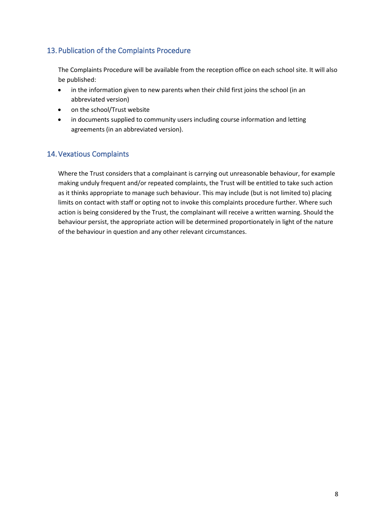## <span id="page-7-0"></span>13.Publication of the Complaints Procedure

The Complaints Procedure will be available from the reception office on each school site. It will also be published:

- in the information given to new parents when their child first joins the school (in an abbreviated version)
- on the school/Trust website
- in documents supplied to community users including course information and letting agreements (in an abbreviated version).

## <span id="page-7-1"></span>14.Vexatious Complaints

Where the Trust considers that a complainant is carrying out unreasonable behaviour, for example making unduly frequent and/or repeated complaints, the Trust will be entitled to take such action as it thinks appropriate to manage such behaviour. This may include (but is not limited to) placing limits on contact with staff or opting not to invoke this complaints procedure further. Where such action is being considered by the Trust, the complainant will receive a written warning. Should the behaviour persist, the appropriate action will be determined proportionately in light of the nature of the behaviour in question and any other relevant circumstances.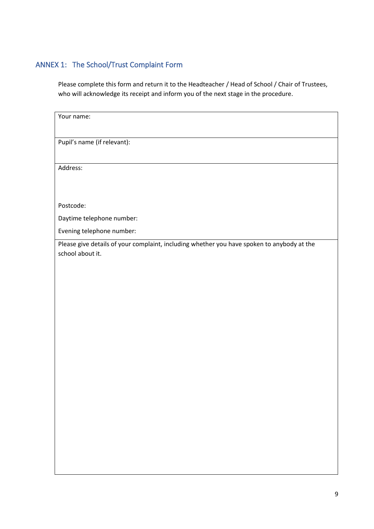## <span id="page-8-0"></span>ANNEX 1: The School/Trust Complaint Form

Please complete this form and return it to the Headteacher / Head of School / Chair of Trustees, who will acknowledge its receipt and inform you of the next stage in the procedure.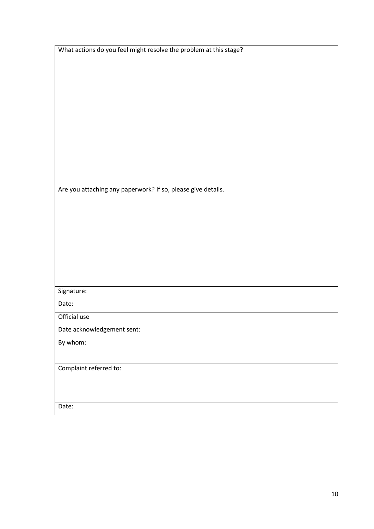| Are you attaching any paperwork? If so, please give details. |
|--------------------------------------------------------------|
|                                                              |
|                                                              |
|                                                              |
|                                                              |
|                                                              |
|                                                              |
|                                                              |
| Signature:                                                   |
| Date:                                                        |
| Official use                                                 |
| Date acknowledgement sent:                                   |
| By whom:                                                     |
|                                                              |
| Complaint referred to:                                       |
|                                                              |
|                                                              |

What actions do you feel might resolve the problem at this stage?

Date: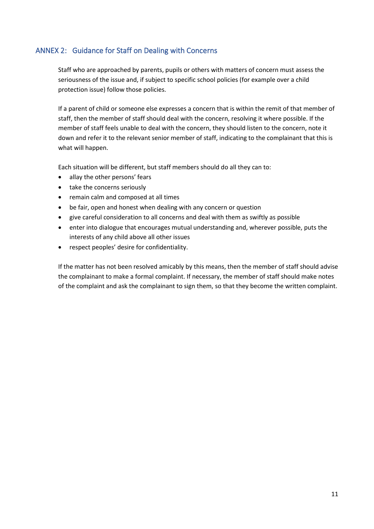## <span id="page-10-0"></span>ANNEX 2: Guidance for Staff on Dealing with Concerns

Staff who are approached by parents, pupils or others with matters of concern must assess the seriousness of the issue and, if subject to specific school policies (for example over a child protection issue) follow those policies.

If a parent of child or someone else expresses a concern that is within the remit of that member of staff, then the member of staff should deal with the concern, resolving it where possible. If the member of staff feels unable to deal with the concern, they should listen to the concern, note it down and refer it to the relevant senior member of staff, indicating to the complainant that this is what will happen.

Each situation will be different, but staff members should do all they can to:

- allay the other persons' fears
- take the concerns seriously
- remain calm and composed at all times
- be fair, open and honest when dealing with any concern or question
- give careful consideration to all concerns and deal with them as swiftly as possible
- enter into dialogue that encourages mutual understanding and, wherever possible, puts the interests of any child above all other issues
- respect peoples' desire for confidentiality.

If the matter has not been resolved amicably by this means, then the member of staff should advise the complainant to make a formal complaint. If necessary, the member of staff should make notes of the complaint and ask the complainant to sign them, so that they become the written complaint.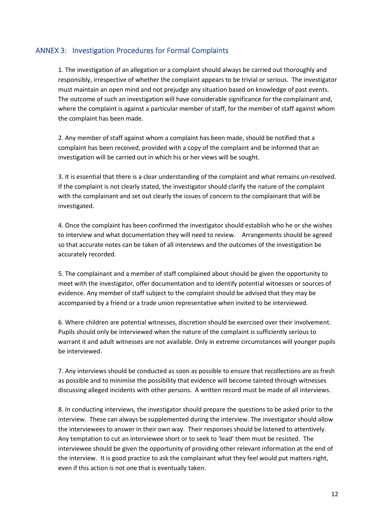#### <span id="page-11-0"></span>ANNEX 3: Investigation Procedures for Formal Complaints

1. The investigation of an allegation or a complaint should always be carried out thoroughly and responsibly, irrespective of whether the complaint appears to be trivial or serious. The investigator must maintain an open mind and not prejudge any situation based on knowledge of past events. The outcome of such an investigation will have considerable significance for the complainant and, where the complaint is against a particular member of staff, for the member of staff against whom the complaint has been made.

2. Any member of staff against whom a complaint has been made, should be notified that a complaint has been received, provided with a copy of the complaint and be informed that an investigation will be carried out in which his or her views will be sought.

3. It is essential that there is a clear understanding of the complaint and what remains un-resolved. If the complaint is not clearly stated, the investigator should clarify the nature of the complaint with the complainant and set out clearly the issues of concern to the complainant that will be investigated.

4. Once the complaint has been confirmed the investigator should establish who he or she wishes to interview and what documentation they will need to review. Arrangements should be agreed so that accurate notes can be taken of all interviews and the outcomes of the investigation be accurately recorded.

5. The complainant and a member of staff complained about should be given the opportunity to meet with the investigator, offer documentation and to identify potential witnesses or sources of evidence. Any member of staff subject to the complaint should be advised that they may be accompanied by a friend or a trade union representative when invited to be interviewed.

6. Where children are potential witnesses, discretion should be exercised over their involvement. Pupils should only be interviewed when the nature of the complaint is sufficiently serious to warrant it and adult witnesses are not available. Only in extreme circumstances will younger pupils be interviewed.

7. Any interviews should be conducted as soon as possible to ensure that recollections are as fresh as possible and to minimise the possibility that evidence will become tainted through witnesses discussing alleged incidents with other persons. A written record must be made of all interviews.

8. In conducting interviews, the investigator should prepare the questions to be asked prior to the interview. These can always be supplemented during the interview. The investigator should allow the interviewees to answer in their own way. Their responses should be listened to attentively. Any temptation to cut an interviewee short or to seek to 'lead' them must be resisted. The interviewee should be given the opportunity of providing other relevant information at the end of the interview. It is good practice to ask the complainant what they feel would put matters right, even if this action is not one that is eventually taken.